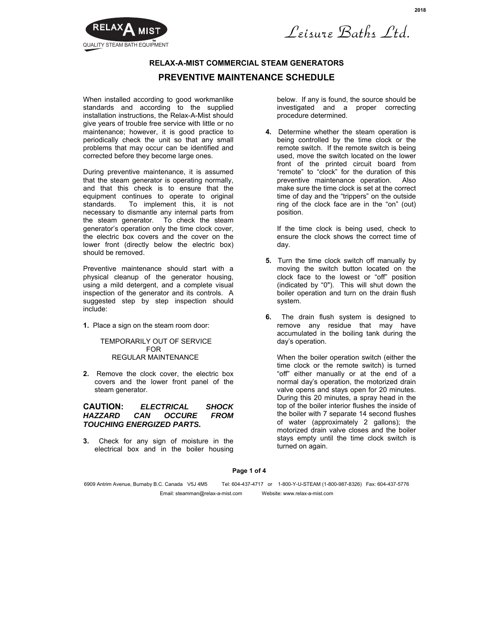

Leisure Baths Ltd.

# **RELAX-A-MIST COMMERCIAL STEAM GENERATORS PREVENTIVE MAINTENANCE SCHEDULE**

When installed according to good workmanlike standards and according to the supplied installation instructions, the Relax-A-Mist should give years of trouble free service with little or no maintenance; however, it is good practice to periodically check the unit so that any small problems that may occur can be identified and corrected before they become large ones.

During preventive maintenance, it is assumed that the steam generator is operating normally, and that this check is to ensure that the equipment continues to operate to original standards. To implement this, it is not necessary to dismantle any internal parts from the steam generator. To check the steam generator's operation only the time clock cover, the electric box covers and the cover on the lower front (directly below the electric box) should be removed.

Preventive maintenance should start with a physical cleanup of the generator housing, using a mild detergent, and a complete visual inspection of the generator and its controls. A suggested step by step inspection should include:

**1.** Place a sign on the steam room door:

### TEMPORARILY OUT OF SERVICE FOR REGULAR MAINTENANCE

**2.** Remove the clock cover, the electric box covers and the lower front panel of the steam generator.

### **CAUTION:** *ELECTRICAL SHOCK HAZZARD CAN OCCURE FROM TOUCHING ENERGIZED PARTS.*

**3.** Check for any sign of moisture in the electrical box and in the boiler housing below. If any is found, the source should be investigated and a proper correcting procedure determined.

**4.** Determine whether the steam operation is being controlled by the time clock or the remote switch. If the remote switch is being used, move the switch located on the lower front of the printed circuit board from "remote" to "clock" for the duration of this preventive maintenance operation. Also make sure the time clock is set at the correct time of day and the "trippers" on the outside ring of the clock face are in the "on" (out) position.

If the time clock is being used, check to ensure the clock shows the correct time of day.

- **5.** Turn the time clock switch off manually by moving the switch button located on the clock face to the lowest or "off" position (indicated by "0"). This will shut down the boiler operation and turn on the drain flush system.
- **6.** The drain flush system is designed to remove any residue that may have accumulated in the boiling tank during the day's operation.

When the boiler operation switch (either the time clock or the remote switch) is turned "off" either manually or at the end of a normal day's operation, the motorized drain valve opens and stays open for 20 minutes. During this 20 minutes, a spray head in the top of the boiler interior flushes the inside of the boiler with 7 separate 14 second flushes of water (approximately 2 gallons); the motorized drain valve closes and the boiler stays empty until the time clock switch is turned on again.

**Page 1 of 4**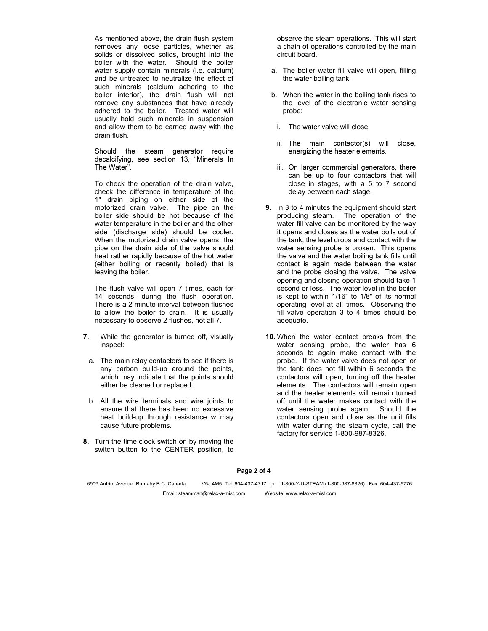As mentioned above, the drain flush system removes any loose particles, whether as solids or dissolved solids, brought into the boiler with the water. Should the boiler water supply contain minerals (i.e. calcium) and be untreated to neutralize the effect of such minerals (calcium adhering to the boiler interior), the drain flush will not remove any substances that have already adhered to the boiler. Treated water will usually hold such minerals in suspension and allow them to be carried away with the drain flush.

Should the steam generator require decalcifying, see section 13, "Minerals In The Water".

To check the operation of the drain valve, check the difference in temperature of the 1" drain piping on either side of the motorized drain valve. The pipe on the boiler side should be hot because of the water temperature in the boiler and the other side (discharge side) should be cooler. When the motorized drain valve opens, the pipe on the drain side of the valve should heat rather rapidly because of the hot water (either boiling or recently boiled) that is leaving the boiler.

The flush valve will open 7 times, each for 14 seconds, during the flush operation. There is a 2 minute interval between flushes to allow the boiler to drain. It is usually necessary to observe 2 flushes, not all 7.

- **7.** While the generator is turned off, visually inspect:
- a. The main relay contactors to see if there is any carbon build-up around the points, which may indicate that the points should either be cleaned or replaced.
- b. All the wire terminals and wire joints to ensure that there has been no excessive heat build-up through resistance w may cause future problems.
- **8.** Turn the time clock switch on by moving the switch button to the CENTER position, to

observe the steam operations. This will start a chain of operations controlled by the main circuit board.

- a. The boiler water fill valve will open, filling the water boiling tank.
- b. When the water in the boiling tank rises to the level of the electronic water sensing probe:
	- i. The water valve will close.
	- ii. The main contactor(s) will close, energizing the heater elements.
	- iii. On larger commercial generators, there can be up to four contactors that will close in stages, with a 5 to 7 second delay between each stage.
- **9.** In 3 to 4 minutes the equipment should start producing steam. The operation of the water fill valve can be monitored by the way it opens and closes as the water boils out of the tank; the level drops and contact with the water sensing probe is broken. This opens the valve and the water boiling tank fills until contact is again made between the water and the probe closing the valve. The valve opening and closing operation should take 1 second or less. The water level in the boiler is kept to within 1/16" to 1/8" of its normal operating level at all times. Observing the fill valve operation 3 to 4 times should be adequate.
- **10.** When the water contact breaks from the water sensing probe, the water has 6 seconds to again make contact with the probe. If the water valve does not open or the tank does not fill within 6 seconds the contactors will open, turning off the heater elements. The contactors will remain open and the heater elements will remain turned off until the water makes contact with the water sensing probe again. Should the contactors open and close as the unit fills with water during the steam cycle, call the factory for service 1-800-987-8326.

**Page 2 of 4**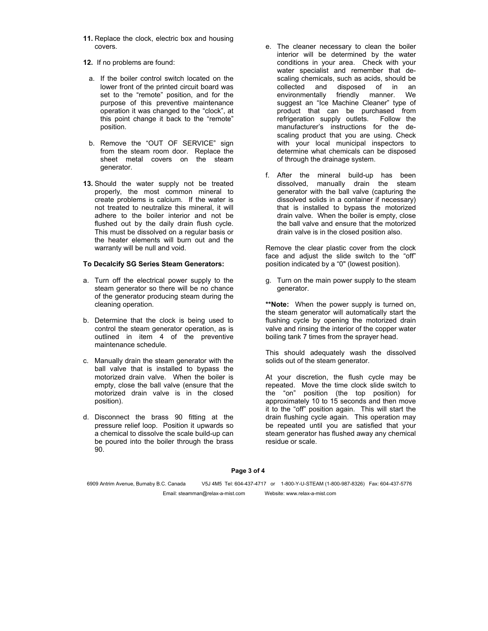- **11.** Replace the clock, electric box and housing covers.
- **12.** If no problems are found:
- a. If the boiler control switch located on the lower front of the printed circuit board was set to the "remote" position, and for the purpose of this preventive maintenance operation it was changed to the "clock", at this point change it back to the "remote" position.
- b. Remove the "OUT OF SERVICE" sign from the steam room door. Replace the sheet metal covers on the steam generator.
- **13.** Should the water supply not be treated properly, the most common mineral to create problems is calcium. If the water is not treated to neutralize this mineral, it will adhere to the boiler interior and not be flushed out by the daily drain flush cycle. This must be dissolved on a regular basis or the heater elements will burn out and the warranty will be null and void.

#### **To Decalcify SG Series Steam Generators:**

- a. Turn off the electrical power supply to the steam generator so there will be no chance of the generator producing steam during the cleaning operation.
- b. Determine that the clock is being used to control the steam generator operation, as is outlined in item 4 of the preventive maintenance schedule.
- c. Manually drain the steam generator with the ball valve that is installed to bypass the motorized drain valve. When the boiler is empty, close the ball valve (ensure that the motorized drain valve is in the closed position).
- d. Disconnect the brass 90 fitting at the pressure relief loop. Position it upwards so a chemical to dissolve the scale build-up can be poured into the boiler through the brass 90.
- e. The cleaner necessary to clean the boiler interior will be determined by the water conditions in your area. Check with your water specialist and remember that descaling chemicals, such as acids, should be collected and disposed of in an environmentally friendly manner. We suggest an "Ice Machine Cleaner" type of product that can be purchased from refrigeration supply outlets. Follow the manufacturer's instructions for the descaling product that you are using. Check with your local municipal inspectors to determine what chemicals can be disposed of through the drainage system.
- f. After the mineral build-up has been dissolved, manually drain the steam generator with the ball valve (capturing the dissolved solids in a container if necessary) that is installed to bypass the motorized drain valve. When the boiler is empty, close the ball valve and ensure that the motorized drain valve is in the closed position also.

Remove the clear plastic cover from the clock face and adjust the slide switch to the "off" position indicated by a "0" (lowest position).

g. Turn on the main power supply to the steam generator.

**\*\*Note:** When the power supply is turned on, the steam generator will automatically start the flushing cycle by opening the motorized drain valve and rinsing the interior of the copper water boiling tank 7 times from the sprayer head.

This should adequately wash the dissolved solids out of the steam generator.

At your discretion, the flush cycle may be repeated. Move the time clock slide switch to the "on" position (the top position) for approximately 10 to 15 seconds and then move it to the "off" position again. This will start the drain flushing cycle again. This operation may be repeated until you are satisfied that your steam generator has flushed away any chemical residue or scale.

**Page 3 of 4**